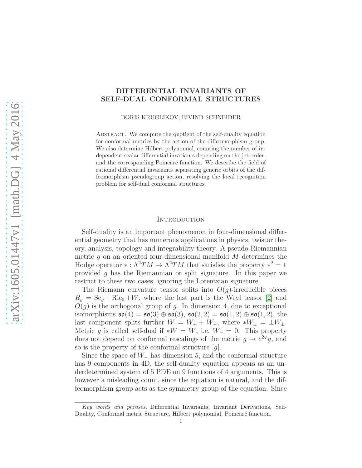## DIFFERENTIAL INVARIANTS OF SELF-DUAL CONFORMAL STRUCTURES

BORIS KRUGLIKOV, EIVIND SCHNEIDER

ABSTRACT. We compute the quotient of the self-duality equation for conformal metrics by the action of the diffeomorphism group. We also determine Hilbert polynomial, counting the number of independent scalar differential invariants depending on the jet-order, and the corresponding Poincaré function. We describe the field of rational differential invariants separating generic orbits of the diffeomorphism pseudogroup action, resolving the local recognition problem for self-dual conformal structures.

#### **INTRODUCTION**

Self-duality is an important phenomenon in four-dimensional differential geometry that has numerous applications in physics, twistor theory, analysis, topology and integrability theory. A pseudo-Riemannian metric  $g$  on an oriented four-dimensional manifold  $M$  determines the Hodge operator  $*: \Lambda^2 TM \to \Lambda^2 TM$  that satisfies the property  $*^2 = 1$ provided g has the Riemannian or split signature. In this paper we restrict to these two cases, ignoring the Lorentzian signature.

The Riemann curvature tensor splits into  $O(q)$ -irreducible pieces  $R_g = \text{Sc}_g + \text{Ric}_0 + W$ , where the last part is the Weyl tensor [\[2\]](#page-18-0) and  $O(g)$  is the orthogonal group of g. In dimension 4, due to exceptional isomorphisms  $\mathfrak{so}(4) = \mathfrak{so}(3) \oplus \mathfrak{so}(3)$ ,  $\mathfrak{so}(2,2) = \mathfrak{so}(1,2) \oplus \mathfrak{so}(1,2)$ , the last component splits further  $W = W_+ + W_-,$  where  $*W_{\pm} = \pm W_{\pm}.$ Metric g is called self-dual if  $*W = W$ , i.e.  $W_-=0$ . This property does not depend on conformal rescalings of the metric  $g \to e^{2\varphi}g$ , and so is the property of the conformal structure  $[g]$ .

Since the space of  $W_-\$  has dimension 5, and the conformal structure has 9 components in 4D, the self-duality equation appears as an underdetermined system of 5 PDE on 9 functions of 4 arguments. This is however a misleading count, since the equation is natural, and the diffeomorphism group acts as the symmetry group of the equation. Since

Key words and phrases. Differential Invariants, Invariant Derivations, Self-Duality, Conformal metric Structure, Hilbert polynomial, Poincaré function.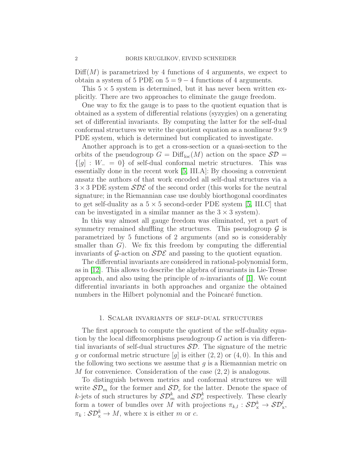$\text{Diff}(M)$  is parametrized by 4 functions of 4 arguments, we expect to obtain a system of 5 PDE on  $5 = 9 - 4$  functions of 4 arguments.

This  $5 \times 5$  system is determined, but it has never been written explicitly. There are two approaches to eliminate the gauge freedom.

One way to fix the gauge is to pass to the quotient equation that is obtained as a system of differential relations (syzygies) on a generating set of differential invariants. By computing the latter for the self-dual conformal structures we write the quotient equation as a nonlinear  $9\times9$ PDE system, which is determined but complicated to investigate.

Another approach is to get a cross-section or a quasi-section to the orbits of the pseudogroup  $G = \text{Diff}_{loc}(M)$  action on the space  $S\mathcal{D} =$  $\{[q] : W_-\ = 0\}$  of self-dual conformal metric structures. This was essentially done in the recent work [\[5,](#page-18-1) III.A]: By choosing a convenient ansatz the authors of that work encoded all self-dual structures via a  $3 \times 3$  PDE system  $SDE$  of the second order (this works for the neutral signature; in the Riemannian case use doubly biorthogonal coordinates to get self-duality as a  $5 \times 5$  second-order PDE system [\[5,](#page-18-1) III.C] that can be investigated in a similar manner as the  $3 \times 3$  system).

In this way almost all gauge freedom was eliminated, yet a part of symmetry remained shuffling the structures. This pseudogroup  $\mathcal G$  is parametrized by 5 functions of 2 arguments (and so is considerably smaller than  $G$ ). We fix this freedom by computing the differential invariants of G-action on  $SDE$  and passing to the quotient equation.

The differential invariants are considered in rational-polynomial form, as in [\[12\]](#page-19-0). This allows to describe the algebra of invariants in Lie-Tresse approach, and also using the principle of  $n$ -invariants of [\[1\]](#page-18-2). We count differential invariants in both approaches and organize the obtained numbers in the Hilbert polynomial and the Poincaré function.

## 1. Scalar invariants of self-dual structures

<span id="page-1-0"></span>The first approach to compute the quotient of the self-duality equation by the local diffeomorphisms pseudogroup  $G$  action is via differential invariants of self-dual structures  $\mathcal{SD}$ . The signature of the metric g or conformal metric structure [g] is either  $(2, 2)$  or  $(4, 0)$ . In this and the following two sections we assume that  $g$  is a Riemannian metric on M for convenience. Consideration of the case (2, 2) is analogous.

To distinguish between metrics and conformal structures we will write  $SD_m$  for the former and  $SD_c$  for the latter. Denote the space of k-jets of such structures by  $\mathcal{SD}_m^k$  and  $\mathcal{SD}_c^k$  respectively. These clearly form a tower of bundles over M with projections  $\pi_{k,l} : \mathcal{SD}_x^k \to \mathcal{SD}_x^l$ ,  $\pi_k : \mathcal{SD}_x^k \to M$ , where x is either m or c.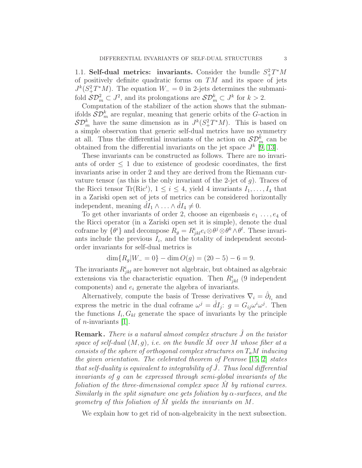1.1. Self-dual metrics: invariants. Consider the bundle  $S^2_+T^*M$ of positively definite quadratic forms on  $TM$  and its space of jets  $J^k(S_+^2T^*M)$ . The equation  $W_-=0$  in 2-jets determines the submanifold  $S\mathcal{D}_m^2 \subset J^2$ , and its prolongations are  $S\mathcal{D}_m^k \subset J^k$  for  $k > 2$ .

Computation of the stabilizer of the action shows that the submanifolds  $\mathcal{SD}_{m}^{k}$  are regular, meaning that generic orbits of the G-action in  $\mathcal{SD}_m^k$  have the same dimension as in  $J^k(S_+^2T^*M)$ . This is based on a simple observation that generic self-dual metrics have no symmetry at all. Thus the differential invariants of the action on  $\mathcal{SD}_{m}^{k}$  can be obtained from the differential invariants on the jet space  $J^k$  [\[9,](#page-19-1) [13\]](#page-19-2).

These invariants can be constructed as follows. There are no invariants of order  $\leq 1$  due to existence of geodesic coordinates, the first invariants arise in order 2 and they are derived from the Riemann curvature tensor (as this is the only invariant of the 2-jet of  $g$ ). Traces of the Ricci tensor Tr(Ric<sup>i</sup>),  $1 \leq i \leq 4$ , yield 4 invariants  $I_1, \ldots, I_4$  that in a Zariski open set of jets of metrics can be considered horizontally independent, meaning  $\hat{d}I_1 \wedge \ldots \wedge \hat{d}I_4 \neq 0$ .

To get other invariants of order 2, choose an eigenbasis  $e_1 \ldots, e_4$  of the Ricci operator (in a Zariski open set it is simple), denote the dual coframe by  $\{\theta^i\}$  and decompose  $R_g = R^i_{jkl} e_i \otimes \theta^j \otimes \theta^k \wedge \theta^l$ . These invariants include the previous  $I_i$ , and the totality of independent secondorder invariants for self-dual metrics is

$$
\dim\{R_g|W_-=0\} - \dim O(g) = (20-5) - 6 = 9.
$$

The invariants  $R^i_{jkl}$  are however not algebraic, but obtained as algebraic extensions via the characteristic equation. Then  $R_{jkl}^{i}$  (9 independent components) and  $e_i$  generate the algebra of invariants.

Alternatively, compute the basis of Tresse derivatives  $\nabla_i = \hat{\partial}_{I_i}$  and express the metric in the dual coframe  $\omega^j = \hat{d}I_j$ :  $g = G_{ij}\omega^i\omega^j$ . Then the functions  $I_i$ ,  $G_{kl}$  generate the space of invariants by the principle of *n*-invariants  $[1]$ .

**Remark.** There is a natural almost complex structure  $\tilde{J}$  on the twistor space of self-dual  $(M, g)$ , i.e. on the bundle  $\tilde{M}$  over M whose fiber at a consists of the sphere of orthogonal complex structures on  $T_aM$  inducing the given orientation. The celebrated theorem of Penrose [\[15,](#page-19-3) [2\]](#page-18-0) states that self-duality is equivalent to integrability of  $J$ . Thus local differential invariants of g can be expressed through semi-global invariants of the foliation of the three-dimensional complex space M by rational curves. Similarly in the split signature one gets foliation by  $\alpha$ -surfaces, and the geometry of this foliation of  $M$  yields the invariants on  $M$ .

We explain how to get rid of non-algebraicity in the next subsection.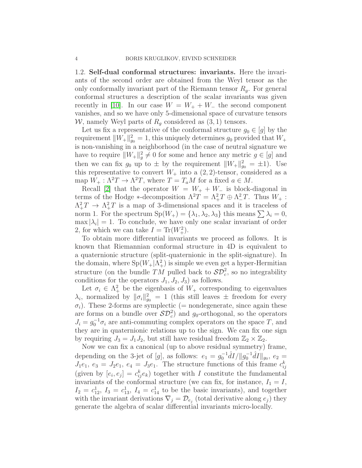1.2. Self-dual conformal structures: invariants. Here the invariants of the second order are obtained from the Weyl tensor as the only conformally invariant part of the Riemann tensor  $R<sub>g</sub>$ . For general conformal structures a description of the scalar invariants was given recently in [\[10\]](#page-19-4). In our case  $W = W_+ + W_-$  the second component vanishes, and so we have only 5-dimensional space of curvature tensors W, namely Weyl parts of  $R_q$  considered as  $(3, 1)$  tensors.

Let us fix a representative of the conformal structure  $g_0 \in [g]$  by the requirement  $||W_+||_{g_0}^2 = 1$ , this uniquely determines  $g_0$  provided that  $W_+$ is non-vanishing in a neighborhood (in the case of neutral signature we have to require  $||W_+||_g^2 \neq 0$  for some and hence any metric  $g \in [g]$  and then we can fix  $g_0$  up to  $\pm$  by the requirement  $||W_+||_{g_0}^2 = \pm 1$ . Use this representative to convert  $W_+$  into a  $(2, 2)$ -tensor, considered as a map  $W_+ : \Lambda^2 T \to \Lambda^2 T$ , where  $T = T_a M$  for a fixed  $a \in M$ .

Recall [\[2\]](#page-18-0) that the operator  $W = W_+ + W_-$  is block-diagonal in terms of the Hodge  $\ast$ -decomposition  $\Lambda^2 T = \Lambda^2_+ T \oplus \Lambda^2_- T$ . Thus  $W_+$ :  $\Lambda^2_+T \to \Lambda^2_+T$  is a map of 3-dimensional spaces and it is traceless of norm 1. For the spectrum  $Sp(W_+) = {\lambda_1, \lambda_2, \lambda_3}$  this means  $\sum \lambda_i = 0$ ,  $\max |\lambda_i| = 1$ . To conclude, we have only one scalar invariant of order 2, for which we can take  $I = \text{Tr}(W_+^2)$ .

To obtain more differential invariants we proceed as follows. It is known that Riemannian conformal structure in 4D is equivalent to a quaternionic structure (split-quaternionic in the split-signature). In the domain, where  $Sp(W_+|\Lambda_+^2)$  is simple we even get a hyper-Hermitian structure (on the bundle  $TM$  pulled back to  $\mathcal{SD}_c^2$ , so no integrability conditions for the operators  $J_1, J_2, J_3$  as follows.

Let  $\sigma_i \in \Lambda^2_+$  be the eigenbasis of  $W_+$  corresponding to eigenvalues  $\lambda_i$ , normalized by  $\|\sigma_i\|_{g_0}^2 = 1$  (this still leaves  $\pm$  freedom for every  $\sigma_i$ ). These 2-forms are symplectic (= nondegenerate, since again these are forms on a bundle over  $\mathcal{SD}_c^2$  and  $g_0$ -orthogonal, so the operators  $J_i = g_0^{-1} \sigma_i$  are anti-commuting complex operators on the space T, and they are in quaternionic relations up to the sign. We can fix one sign by requiring  $J_3 = J_1 J_2$ , but still have residual freedom  $\mathbb{Z}_2 \times \mathbb{Z}_2$ .

Now we can fix a canonical (up to above residual symmetry) frame, depending on the 3-jet of [g], as follows:  $e_1 = g_0^{-1} \hat{d}I / ||g_0^{-1} \hat{d}I||_{g_0}, e_2 =$  $J_1e_1, e_3 = J_2e_1, e_4 = J_3e_1.$  The structure functions of this frame  $c_{ij}^k$ (given by  $[e_i, e_j] = c_{ij}^k e_k$ ) together with I constitute the fundamental invariants of the conformal structure (we can fix, for instance,  $I_1 = I$ ,  $I_2 = c_{12}^1$ ,  $I_3 = c_{13}^1$ ,  $I_4 = c_{14}^1$  to be the basic invariants), and together with the invariant derivations  $\nabla_j = \mathcal{D}_{e_j}$  (total derivative along  $e_j$ ) they generate the algebra of scalar differential invariants micro-locally.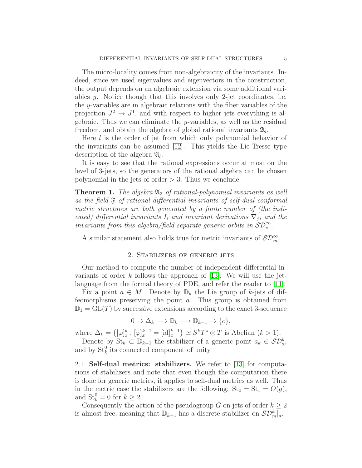The micro-locality comes from non-algebraicity of the invariants. Indeed, since we used eigenvalues and eigenvectors in the construction, the output depends on an algebraic extension via some additional variables y. Notice though that this involves only 2-jet coordinates, i.e. the y-variables are in algebraic relations with the fiber variables of the projection  $J^2 \to J^1$ , and with respect to higher jets everything is algebraic. Thus we can eliminate the y-variables, as well as the residual freedom, and obtain the algebra of global rational invariants  $\mathfrak{A}_l$ .

Here l is the order of jet from which only polynomial behavior of the invariants can be assumed [\[12\]](#page-19-0). This yields the Lie-Tresse type description of the algebra  $\mathfrak{A}_l$ .

It is easy to see that the rational expressions occur at most on the level of 3-jets, so the generators of the rational algebra can be chosen polynomial in the jets of order  $> 3$ . Thus we conclude:

**Theorem 1.** The algebra  $\mathfrak{A}_3$  of rational-polynomial invariants as well as the field  $\mathfrak F$  of rational differential invariants of self-dual conformal metric structures are both generated by a finite number of (the indicated) differential invariants  $I_i$  and invariant derivations  $\nabla_j$ , and the invariants from this algebra/field separate generic orbits in  $\mathcal{SD}_{c}^{\infty}$ .

<span id="page-4-0"></span>A similar statement also holds true for metric invariants of  $\mathcal{SD}_{m}^{\infty}$ .

## 2. Stabilizers of generic jets

Our method to compute the number of independent differential invariants of order  $k$  follows the approach of [\[13\]](#page-19-2). We will use the jetlanguage from the formal theory of PDE, and refer the reader to [\[11\]](#page-19-5).

Fix a point  $a \in M$ . Denote by  $\mathbb{D}_k$  the Lie group of k-jets of diffeomorphisms preserving the point a. This group is obtained from  $\mathbb{D}_1 = GL(T)$  by successive extensions according to the exact 3-sequence

$$
0 \to \Delta_k \longrightarrow \mathbb{D}_k \longrightarrow \mathbb{D}_{k-1} \to \{e\},\
$$

where  $\Delta_k = \{ [\varphi]_x^k : [\varphi]_x^{k-1} = [\text{id}]_x^{k-1} \} \simeq S^k T^* \otimes T$  is Abelian  $(k > 1)$ .

Denote by  $\text{St}_k \subset \mathbb{D}_{k+1}$  the stabilizer of a generic point  $a_k \in \mathcal{SD}_x^k$ , and by  $\mathrm{St}_k^0$  its connected component of unity.

2.1. Self-dual metrics: stabilizers. We refer to [\[13\]](#page-19-2) for computations of stabilizers and note that even though the computation there is done for generic metrics, it applies to self-dual metrics as well. Thus in the metric case the stabilizers are the following:  $St_0 = St_1 = O(g)$ , and  $\mathrm{St}_k^0 = 0$  for  $k \geq 2$ .

Consequently the action of the pseudogroup G on jets of order  $k \geq 2$ is almost free, meaning that  $\mathbb{D}_{k+1}$  has a discrete stabilizer on  $\mathcal{SD}_{m}^{k}|_{a}$ .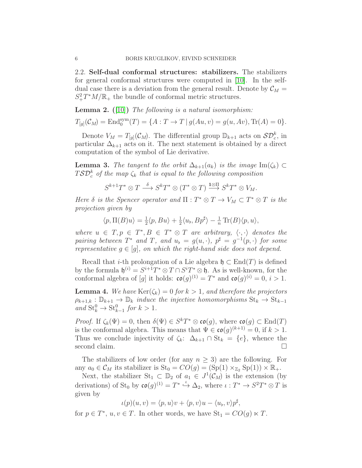2.2. Self-dual conformal structures: stabilizers. The stabilizers for general conformal structures were computed in [\[10\]](#page-19-4). In the selfdual case there is a deviation from the general result. Denote by  $\mathcal{C}_M$  =  $S_+^2T^*M/\mathbb{R}_+$  the bundle of conformal metric structures.

**Lemma 2.** ([\[10\]](#page-19-4)) The following is a natural isomorphism:

$$
T_{[g]}(\mathcal{C}_M) = \text{End}_{0}^{\text{sym}}(T) = \{A : T \to T \mid g(Au, v) = g(u, Av), \text{Tr}(A) = 0\}.
$$

Denote  $V_M = T_{[g]}(\mathcal{C}_M)$ . The differential group  $\mathbb{D}_{k+1}$  acts on  $S\mathcal{D}_{c}^k$ , in particular  $\Delta_{k+1}$  acts on it. The next statement is obtained by a direct computation of the symbol of Lie derivative.

**Lemma 3.** The tangent to the orbit  $\Delta_{k+1}(a_k)$  is the image Im( $\zeta_k$ ) ⊂  $T \mathcal{S} \mathcal{D}^k_c$  of the map  $\zeta_k$  that is equal to the following composition

$$
S^{k+1}T^*\otimes T\stackrel{\delta}{\longrightarrow}S^kT^*\otimes (T^*\otimes T)\stackrel{1\otimes \Pi}{\longrightarrow}S^kT^*\otimes V_M.
$$

Here  $\delta$  is the Spencer operator and  $\Pi : T^* \otimes T \to V_M \subset T^* \otimes T$  is the projection given by

$$
\langle p, \Pi(B)u \rangle = \frac{1}{2} \langle p, Bu \rangle + \frac{1}{2} \langle u_b, B p^{\sharp} \rangle - \frac{1}{n} \operatorname{Tr}(B) \langle p, u \rangle,
$$

where  $u \in T, p \in T^*, B \in T^* \otimes T$  are arbitrary,  $\langle \cdot, \cdot \rangle$  denotes the pairing between  $T^*$  and  $T$ , and  $u_{\flat} = g(u, \cdot), p^{\sharp} = g^{-1}(p, \cdot)$  for some representative  $g \in [g]$ , on which the right-hand side does not depend.

Recall that *i*-th prolongation of a Lie algebra  $\mathfrak{h} \subset \text{End}(T)$  is defined by the formula  $\mathfrak{h}^{(i)} = S^{i+1}T^* \otimes T \cap S^iT^* \otimes \mathfrak{h}$ . As is well-known, for the conformal algebra of [g] it holds:  $\mathfrak{co}(g)^{(1)} = T^*$  and  $\mathfrak{co}(g)^{(i)} = 0, i > 1$ .

**Lemma 4.** We have  $\text{Ker}(\zeta_k) = 0$  for  $k > 1$ , and therefore the projectors  $\rho_{k+1,k} : \mathbb{D}_{k+1} \to \mathbb{D}_k$  induce the injective homomorphisms  $\text{St}_k \to \text{St}_{k-1}$ and  $\mathrm{St}_{k}^{0} \to \mathrm{St}_{k-1}^{0}$  for  $k > 1$ .

*Proof.* If  $\zeta_k(\Psi) = 0$ , then  $\delta(\Psi) \in S^kT^* \otimes \mathfrak{co}(g)$ , where  $\mathfrak{co}(g) \subset \text{End}(T)$ is the conformal algebra. This means that  $\Psi \in \mathfrak{co}(g)^{(k+1)} = 0$ , if  $k > 1$ . Thus we conclude injectivity of  $\zeta_k$ :  $\Delta_{k+1} \cap \text{St}_k = \{e\}$ , whence the second claim.

The stabilizers of low order (for any  $n \geq 3$ ) are the following. For any  $a_0 \in \mathcal{C}_M$  its stabilizer is  $\text{St}_0 = CO(g) = (\text{Sp}(1) \times_{\mathbb{Z}_2} \text{Sp}(1)) \times \mathbb{R}_+$ .

Next, the stabilizer  $St_1 \subset \mathbb{D}_2$  of  $a_1 \in J^1(\mathcal{C}_M)$  is the extension (by derivations) of St<sub>0</sub> by  $\mathfrak{co}(g)^{(1)} = T^* \stackrel{\iota}{\hookrightarrow} \Delta_2$ , where  $\iota : T^* \to S^2T^* \otimes T$  is given by

$$
\iota(p)(u,v) = \langle p, u \rangle v + \langle p, v \rangle u - \langle u_{\flat}, v \rangle p^{\sharp},
$$

for  $p \in T^*$ ,  $u, v \in T$ . In other words, we have  $St_1 = CO(g) \ltimes T$ .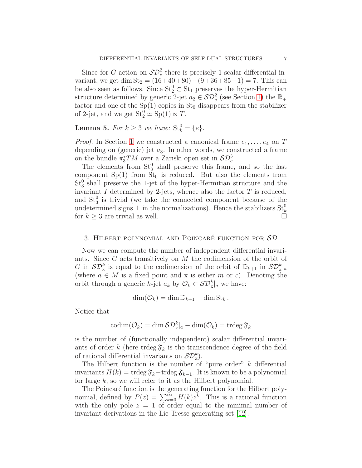Since for G-action on  $\mathcal{SD}_c^2$  there is precisely 1 scalar differential invariant, we get dim  $St_2 = (16+40+80) - (9+36+85-1) = 7$ . This can be also seen as follows. Since  $St_2^0 \subset St_1$  preserves the hyper-Hermitian structure determined by generic 2-jet  $a_2 \in \mathcal{SD}_c^2$  (see Section [1\)](#page-1-0) the  $\mathbb{R}_+$ factor and one of the  $Sp(1)$  copies in  $St_0$  disappears from the stabilizer of 2-jet, and we get  $St_2^0 \simeq Sp(1) \ltimes T$ .

# **Lemma 5.** For  $k \geq 3$  we have:  $\text{St}_k^0 = \{e\}.$

*Proof.* In Section [1](#page-1-0) we constructed a canonical frame  $e_1, \ldots, e_4$  on T depending on (generic) jet  $a_3$ . In other words, we constructed a frame on the bundle  $\pi_3^*TM$  over a Zariski open set in  $\mathcal{SD}_c^3$ .

The elements from  $St_3^0$  shall preserve this frame, and so the last component  $Sp(1)$  from  $St_0$  is reduced. But also the elements from  $St_3^0$  shall preserve the 1-jet of the hyper-Hermitian structure and the invariant  $I$  determined by 2-jets, whence also the factor  $T$  is reduced, and  $St_3^0$  is trivial (we take the connected component because of the undetermined signs  $\pm$  in the normalizations). Hence the stabilizers  $St_k^0$ for  $k \geq 3$  are trivial as well.

## 3. HILBERT POLYNOMIAL AND POINCARÉ FUNCTION FOR  $SD$

Now we can compute the number of independent differential invariants. Since G acts transitively on M the codimension of the orbit of G in  $\mathcal{SD}_{\mathbf{x}}^k$  is equal to the codimension of the orbit of  $\mathbb{D}_{k+1}$  in  $\mathcal{SD}_{\mathbf{x}}^k|_a$ (where  $a \in M$  is a fixed point and x is either m or c). Denoting the orbit through a generic k-jet  $a_k$  by  $\mathcal{O}_k \subset \mathcal{SD}_x^k|_a$  we have:

$$
\dim(\mathcal{O}_k) = \dim \mathbb{D}_{k+1} - \dim \mathrm{St}_k.
$$

Notice that

$$
\mathrm{codim}(\mathcal{O}_k)=\dim \mathcal{SD}_\mathrm{x}^k|_a-\dim(\mathcal{O}_k)=\mathrm{trdeg}\,\mathfrak{F}_k
$$

is the number of (functionally independent) scalar differential invariants of order k (here trdeg  $\mathfrak{F}_k$  is the transcendence degree of the field of rational differential invariants on  $\mathcal{SD}_{\mathbf{x}}^{k}$ .

The Hilbert function is the number of "pure order"  $k$  differential invariants  $H(k) = \text{trdeg }\mathfrak{F}_k-\text{trdeg }\mathfrak{F}_{k-1}$ . It is known to be a polynomial for large  $k$ , so we will refer to it as the Hilbert polynomial.

The Poincaré function is the generating function for the Hilbert polynomial, defined by  $P(z) = \sum_{k=0}^{\infty} H(k)z^k$ . This is a rational function with the only pole  $z = 1$  of order equal to the minimal number of invariant derivations in the Lie-Tresse generating set [\[12\]](#page-19-0).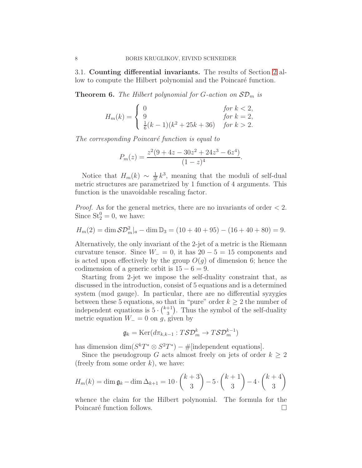3.1. Counting differential invariants. The results of Section [2](#page-4-0) allow to compute the Hilbert polynomial and the Poincaré function.

**Theorem 6.** The Hilbert polynomial for G-action on  $SD_m$  is

$$
H_m(k) = \begin{cases} 0 & \text{for } k < 2, \\ 9 & \text{for } k = 2, \\ \frac{1}{6}(k-1)(k^2 + 25k + 36) & \text{for } k > 2. \end{cases}
$$

The corresponding Poincaré function is equal to

$$
P_m(z) = \frac{z^2(9+4z-30z^2+24z^3-6z^4)}{(1-z)^4}.
$$

Notice that  $H_m(k) \sim \frac{1}{3!}k^3$ , meaning that the moduli of self-dual metric structures are parametrized by 1 function of 4 arguments. This function is the unavoidable rescaling factor.

*Proof.* As for the general metrics, there are no invariants of order  $\lt 2$ . Since  $St_2^0 = 0$ , we have:

$$
H_m(2) = \dim \mathcal{SD}_m^2|_a - \dim \mathbb{D}_3 = (10 + 40 + 95) - (16 + 40 + 80) = 9.
$$

Alternatively, the only invariant of the 2-jet of a metric is the Riemann curvature tensor. Since  $W_ = 0$ , it has  $20 - 5 = 15$  components and is acted upon effectively by the group  $O(g)$  of dimension 6; hence the codimension of a generic orbit is  $15 - 6 = 9$ .

Starting from 2-jet we impose the self-duality constraint that, as discussed in the introduction, consist of 5 equations and is a determined system (mod gauge). In particular, there are no differential syzygies between these 5 equations, so that in "pure" order  $k \geq 2$  the number of independent equations is  $5 \cdot {k+1 \choose 3}$  $\binom{+1}{3}$ . Thus the symbol of the self-duality metric equation  $W_$  = 0 on g, given by

$$
\mathfrak{g}_k = \text{Ker}(d\pi_{k,k-1} : T\mathcal{S}\mathcal{D}_m^k \to T\mathcal{S}\mathcal{D}_m^{k-1})
$$

has dimension  $\dim(S^kT^* \otimes S^2T^*) - \#[\text{independent equations}].$ 

Since the pseudogroup G acts almost freely on jets of order  $k \geq 2$ (freely from some order  $k$ ), we have:

$$
H_m(k) = \dim \mathfrak{g}_k - \dim \Delta_{k+1} = 10 \cdot \binom{k+3}{3} - 5 \cdot \binom{k+1}{3} - 4 \cdot \binom{k+4}{3}
$$

whence the claim for the Hilbert polynomial. The formula for the Poincaré function follows.  $\Box$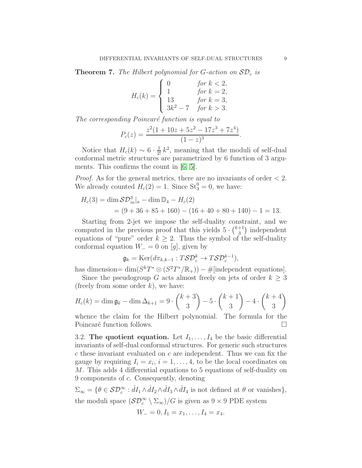<span id="page-8-0"></span>**Theorem 7.** The Hilbert polynomial for G-action on  $SD<sub>c</sub>$  is

$$
H_c(k) = \begin{cases} 0 & \text{for } k < 2, \\ 1 & \text{for } k = 2, \\ 13 & \text{for } k = 3, \\ 3k^2 - 7 & \text{for } k > 3. \end{cases}
$$

The corresponding Poincaré function is equal to

$$
P_c(z) = \frac{z^2(1+10z+5z^2-17z^3+7z^4)}{(1-z)^3}.
$$

Notice that  $H_c(k) \sim 6 \cdot \frac{1}{2!} k^2$ , meaning that the moduli of self-dual conformal metric structures are parametrized by 6 function of 3 arguments. This confirms the count in [\[6,](#page-18-3) [5\]](#page-18-1).

*Proof.* As for the general metrics, there are no invariants of order  $\lt 2$ . We already counted  $H_c(2) = 1$ . Since  $St_3^0 = 0$ , we have:

$$
H_c(3) = \dim \mathcal{SD}_m^3|_a - \dim \mathbb{D}_4 - H_c(2)
$$
  
= (9 + 36 + 85 + 160) - (16 + 40 + 80 + 140) - 1 = 13.

Starting from 2-jet we impose the self-duality constraint, and we computed in the previous proof that this yields  $5 \cdot {k+1 \choose 3}$  $\binom{+1}{3}$  independent equations of "pure" order  $k \geq 2$ . Thus the symbol of the self-duality conformal equation  $W_$  = 0 on [g], given by

$$
\mathfrak{g}_k = \text{Ker}(d\pi_{k,k-1} : T\mathcal{S}\mathcal{D}_c^k \to T\mathcal{S}\mathcal{D}_c^{k-1}),
$$

has dimension=  $\dim(S^kT^* \otimes (S^2T^*/\mathbb{R}_+)) - \#[\text{independent equations}].$ 

Since the pseudogroup G acts almost freely on jets of order  $k \geq 3$ (freely from some order  $k$ ), we have:

$$
H_c(k) = \dim \mathfrak{g}_k - \dim \Delta_{k+1} = 9 \cdot \binom{k+3}{3} - 5 \cdot \binom{k+1}{3} - 4 \cdot \binom{k+4}{3}
$$

whence the claim for the Hilbert polynomial. The formula for the Poincaré function follows.  $\Box$ 

3.2. The quotient equation. Let  $I_1, \ldots, I_4$  be the basic differential invariants of self-dual conformal structures. For generic such structures  $c$  these invariant evaluated on  $c$  are independent. Thus we can fix the gauge by requiring  $I_i = x_i$ ,  $i = 1, \ldots, 4$ , to be the local coordinates on M. This adds 4 differential equations to 5 equations of self-duality on 9 components of c. Consequently, denoting

 $\Sigma_{\infty} = \{ \theta \in \mathcal{SD}_{c}^{\infty} : \hat{d}I_1 \wedge \hat{d}I_2 \wedge \hat{d}I_3 \wedge \hat{d}I_4 \text{ is not defined at } \theta \text{ or vanishes} \},\$ the moduli space  $(\mathcal{SD}_c^{\infty} \setminus \Sigma_{\infty})/G$  is given as  $9 \times 9$  PDE system

$$
W_{-}=0, I_1=x_1,\ldots, I_4=x_4.
$$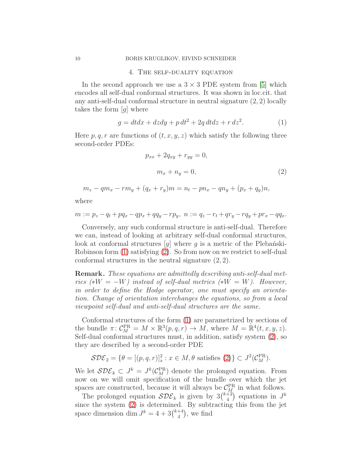#### 10 BORIS KRUGLIKOV, EIVIND SCHNEIDER

#### 4. The self-duality equation

In the second approach we use a  $3 \times 3$  PDE system from [\[5\]](#page-18-1) which encodes all self-dual conformal structures. It was shown in loc.cit. that any anti-self-dual conformal structure in neutral signature (2, 2) locally takes the form  $[g]$  where

<span id="page-9-0"></span>
$$
g = dtdx + dzdy + p dt2 + 2q dt dz + r dz2.
$$
 (1)

Here  $p, q, r$  are functions of  $(t, x, y, z)$  which satisfy the following three second-order PDEs:

$$
p_{xx} + 2q_{xy} + r_{yy} = 0,
$$
  

$$
m_x + n_y = 0,
$$
 (2)

<span id="page-9-1"></span>
$$
m_z - qm_x - rm_y + (q_x + r_y)m = n_t - pn_x - qn_y + (p_x + q_y)n,
$$

where

$$
m := p_z - q_t + pq_x - qp_x + qq_y - rp_y, \ n := q_z - r_t + qr_y - rq_y + pr_x - qq_x.
$$

Conversely, any such conformal structure is anti-self-dual. Therefore we can, instead of looking at arbitrary self-dual conformal structures, look at conformal structures  $[g]$  where g is a metric of the Plebantski-Robinson form [\(1\)](#page-9-0) satisfying [\(2\)](#page-9-1). So from now on we restrict to self-dual conformal structures in the neutral signature (2, 2).

Remark. These equations are admittedly describing anti-self-dual metrics (\* $W = -W$ ) instead of self-dual metrics (\* $W = W$ ). However, in order to define the Hodge operator, one must specify an orientation. Change of orientation interchanges the equations, so from a local viewpoint self-dual and anti-self-dual structures are the same.

Conformal structures of the form [\(1\)](#page-9-0) are parametrized by sections of the bundle  $\pi \colon C_M^{\text{PR}} = M \times \mathbb{R}^3(p, q, r) \to M$ , where  $M = \mathbb{R}^4(t, x, y, z)$ . Self-dual conformal structures must, in addition, satisfy system [\(2\)](#page-9-1), so they are described by a second-order PDE

$$
\mathcal{SDE}_2 = \{ \theta = [(p, q, r)]_x^2 : x \in M, \theta \text{ satisfies (2)} \} \subset J^2(\mathcal{C}_M^{\text{PR}}).
$$

We let  $SDE_k \subset J^k = J^k(\mathcal{C}_M^{\text{PR}})$  denote the prolonged equation. From now on we will omit specification of the bundle over which the jet spaces are constructed, because it will always be  $\mathcal{C}_M^{\text{PR}}$  in what follows.

The prolonged equation  $SDE_k$  is given by  $3\binom{k+2}{4}$  $\binom{+2}{4}$  equations in  $J^k$ since the system [\(2\)](#page-9-1) is determined. By subtracting this from the jet space dimension dim  $J^k = 4 + 3\binom{k+4}{4}$  $\binom{+4}{4}$ , we find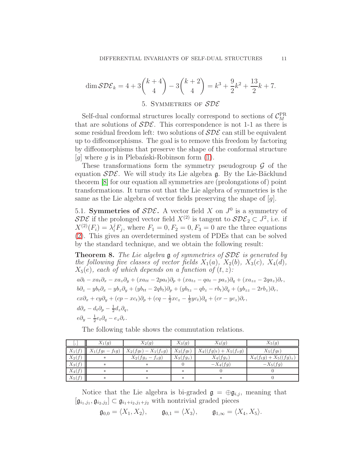$$
\dim \mathcal{SDE}_k = 4 + 3\binom{k+4}{4} - 3\binom{k+2}{4} = k^3 + \frac{9}{2}k^2 + \frac{13}{2}k + 7.
$$

## 5. SYMMETRIES OF SDE

Self-dual conformal structures locally correspond to sections of  $C_M^{\rm PR}$ that are solutions of  $SDE$ . This correspondence is not 1-1 as there is some residual freedom left: two solutions of  $SDE$  can still be equivalent up to diffeomorphisms. The goal is to remove this freedom by factoring by diffeomorphisms that preserve the shape of the conformal structure [g] where g is in Plebanski-Robinson form  $(1)$ .

These transformations form the symmetry pseudogroup  $\mathcal G$  of the equation  $SDE$ . We will study its Lie algebra g. By the Lie-Bäcklund theorem [\[8\]](#page-19-6) for our equation all symmetries are (prolongations of) point transformations. It turns out that the Lie algebra of symmetries is the same as the Lie algebra of vector fields preserving the shape of [g].

5.1. Symmetries of  $SDE$ . A vector field X on  $J^0$  is a symmetry of  $SDE$  if the prolonged vector field  $X^{(2)}$  is tangent to  $SDE_2 \subset J^2$ , i.e. if  $X^{(2)}(F_i) = \lambda_i^j F_j$ , where  $F_1 = 0, F_2 = 0, F_3 = 0$  are the three equations [\(2\)](#page-9-1). This gives an overdetermined system of PDEs that can be solved by the standard technique, and we obtain the following result:

<span id="page-10-0"></span>**Theorem 8.** The Lie algebra  $\mathfrak g$  of symmetries of  $\mathcal{SDE}$  is generated by the following five classes of vector fields  $X_1(a)$ ,  $X_2(b)$ ,  $X_3(c)$ ,  $X_4(d)$ ,  $X_5(e)$ , each of which depends on a function of  $(t, z)$ :  $a\partial_t - xa_t\partial_x - xa_z\partial_y + (xa_{tt} - 2pa_t)\partial_p + (xa_{tz} - qa_t - pa_z)\partial_q + (xa_{zz} - 2qa_z)\partial_r,$  $b\partial_z - yb_t\partial_x - yb_z\partial_y + (yb_{tt} - 2qb_t)\partial_p + (yb_{tz} - qb_z - rb_t)\partial_q + (yb_{zz} - 2rb_z)\partial_r,$  $cx\partial_x + cy\partial_y + (cp - xc_t)\partial_p + (cq - \frac{1}{2}xc_z - \frac{1}{2}yc_t)\partial_q + (cr - yc_z)\partial_r,$  $d\partial_x - d_t \partial_p - \frac{1}{2} d_z \partial_q,$  $e\partial_y - \frac{1}{2}e_t\partial_q - e_z\partial_r.$ 

The following table shows the commutation relations.

| J۱.      | $X_1(g)$          | $X_2(g)$                |             | $X_4(g)$                  | $X_5(g)$                   |  |
|----------|-------------------|-------------------------|-------------|---------------------------|----------------------------|--|
| $X_1(f)$ | $X_1(fg_t-f_t g)$ | $X_2(fg_t) - X_1(f_zg)$ | $X_3(fg_t)$ | $X_4((fg)_t) + X_5(f_zg)$ | $X_5(fg_t)$                |  |
| $X_2(f)$ | $\ast$            | $X_2(fg_z-f_zg)$        | $X_3(fg_z)$ | $X_4(fg_z)$               | $X_4(f_t g) + X_5((fg)_z)$ |  |
| $X_3(f)$ | $\ast$            | $\ast$                  |             | $-X_4(fg)$                | $-X_5(fg)$                 |  |
| $X_4(f)$ | $\ast$            | $\ast$                  | $\ast$      |                           |                            |  |
| $X_5(f)$ | $\ast$            | $\ast$                  | $\ast$      | $\ast$                    |                            |  |

Notice that the Lie algebra is bi-graded  $\mathfrak{g} = \bigoplus \mathfrak{g}_{i,j}$ , meaning that  $[\mathfrak{g}_{i_1,j_1}, \mathfrak{g}_{i_2,j_2}] \subset \mathfrak{g}_{i_1+i_2,j_1+j_2}$  with nontrivial graded pieces

$$
\mathfrak{g}_{0,0} = \langle X_1, X_2 \rangle, \qquad \mathfrak{g}_{0,1} = \langle X_3 \rangle, \qquad \mathfrak{g}_{1,\infty} = \langle X_4, X_5 \rangle.
$$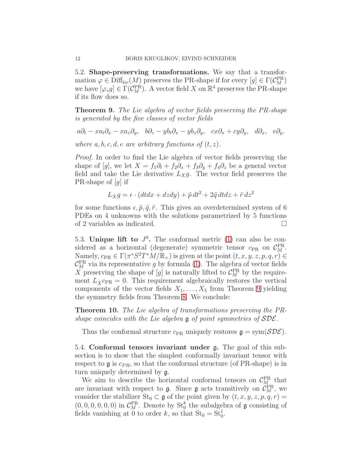5.2. Shape-preserving transformations. We say that a transformation  $\varphi \in \text{Diff}_{\text{loc}}(M)$  preserves the PR-shape if for every  $[g] \in \Gamma(\mathcal{C}_M^{\text{PR}})$ we have  $[\varphi_* g] \in \Gamma(\mathcal{C}_M^{\text{PR}})$ . A vector field X on  $\mathbb{R}^4$  preserves the PR-shape if its flow does so.

<span id="page-11-0"></span>Theorem 9. The Lie algebra of vector fields preserving the PR-shape is generated by the five classes of vector fields

 $a\partial_t - xa_t\partial_x - xa_z\partial_y, \quad b\partial_z - yb_t\partial_x - yb_z\partial_y, \quad cx\partial_x + cy\partial_y, \quad d\partial_x, \quad e\partial_y.$ 

where  $a, b, c, d, e$  are arbitrary functions of  $(t, z)$ .

Proof. In order to find the Lie algebra of vector fields preserving the shape of [g], we let  $X = f_1 \partial_t + f_2 \partial_x + f_3 \partial_y + f_4 \partial_z$  be a general vector field and take the Lie derivative  $L_X g$ . The vector field preserves the PR-shape of  $[g]$  if

$$
L_X g = \epsilon \cdot (dtdx + dzdy) + \tilde{p} dt^2 + 2\tilde{q} dt dz + \tilde{r} dz^2
$$

for some functions  $\epsilon, \tilde{p}, \tilde{q}, \tilde{r}$ . This gives an overdetermined system of 6 PDEs on 4 unknowns with the solutions parametrized by 5 functions of 2 variables as indicated.

5.3. Unique lift to  $J^0$ . The conformal metric [\(1\)](#page-9-0) can also be considered as a horizontal (degenerate) symmetric tensor  $c_{PR}$  on  $C_M^{PR}$ . Namely,  $c_{PR} \in \Gamma(\pi^*S^2T^*\tilde{M}/\mathbb{R}_+)$  is given at the point  $(t, x, y, z, p, q, r) \in$  $\mathcal{C}_M^{\text{PR}}$  via its representative g by formula [\(1\)](#page-9-0). The algebra of vector fields X preserving the shape of  $[g]$  is naturally lifted to  $\mathcal{C}_M^{\text{PR}}$  by the requirement  $L_{\hat{X}}c_{PR} = 0$ . This requirement algebraically restores the vertical components of the vector fields  $X_1, \ldots, X_5$  from Theorem [9](#page-11-0) yielding the symmetry fields from Theorem [8.](#page-10-0) We conclude:

Theorem 10. The Lie algebra of transformations preserving the PRshape coincides with the Lie algebra  $\frak g$  of point symmetries of  $SDE$ .

Thus the conformal structure  $c_{PR}$  uniquely restores  $\mathfrak{g} = \text{sym}(\mathcal{SDE})$ .

<span id="page-11-1"></span>5.4. Conformal tensors invariant under g. The goal of this subsection is to show that the simplest conformally invariant tensor with respect to  $\mathfrak g$  is  $c_{PR}$ , so that the conformal structure (of PR-shape) is in turn uniquely determined by g.

We aim to describe the horizontal conformal tensors on  $\mathcal{C}_{M}^{\text{PR}}$  that are invariant with respect to  $\mathfrak{g}$ . Since  $\mathfrak{g}$  acts transitively on  $\mathcal{C}_M^{\text{PR}}$ , we consider the stabilizer  $St_0 \subset \mathfrak{g}$  of the point given by  $(t, x, y, z, p, q, r) =$  $(0, 0, 0, 0, 0, 0)$  in  $C_M^{\text{PR}}$ . Denote by  $\text{St}_0^k$  the subalgebra of **g** consisting of fields vanishing at 0 to order k, so that  $St_0 = St_0^1$ .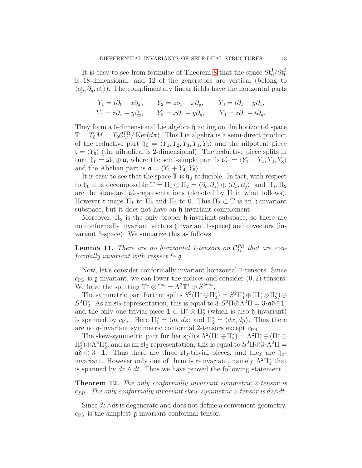It is easy to see from formulae of Theorem [8](#page-10-0) that the space  $St_0^1/St_0^2$ is 18-dimensional, and 12 of the generators are vertical (belong to  $\langle \partial_p, \partial_q, \partial_r \rangle$ . The complimentary linear fields have the horizontal parts

$$
Y_1 = t\partial_t - x\partial_x, \qquad Y_2 = z\partial_t - x\partial_y, \qquad Y_3 = t\partial_z - y\partial_x,
$$
  
\n
$$
Y_4 = z\partial_z - y\partial_y, \qquad Y_5 = x\partial_x + y\partial_y, \qquad Y_6 = z\partial_x - t\partial_y.
$$

They form a 6-dimensional Lie algebra  $\mathfrak h$  acting on the horizontal space  $\mathbb{T} = T_0 M = T_0 C_M^{\text{PR}} / \text{Ker}(d\pi)$ . This Lie algebra is a semi-direct product of the reductive part  $\mathfrak{h}_0 = \langle Y_1, Y_2, Y_3, Y_4, Y_5 \rangle$  and the nilpotent piece  $\mathfrak{r} = \langle Y_6 \rangle$  (the nilradical is 2-dimensional). The reductive piece splits in turn  $\mathfrak{h}_0 = \mathfrak{sl}_2 \oplus \mathfrak{a}$ , where the semi-simple part is  $\mathfrak{sl}_2 = \langle Y_1 - Y_4, Y_2, Y_3 \rangle$ and the Abelian part is  $\mathfrak{a} = \langle Y_1 + Y_4, Y_5 \rangle$ .

It is easy to see that the space  $\mathbb T$  is  $\mathfrak{h}_0$ -reducible. In fact, with respect to  $\mathfrak{h}_0$  it is decomposable  $\mathbb{T} = \Pi_1 \oplus \Pi_2 = \langle \partial_t, \partial_z \rangle \oplus \langle \partial_x, \partial_y \rangle$ , and  $\Pi_1, \Pi_2$ are the standard  $\mathfrak{sl}_2$ -representations (denoted by  $\Pi$  in what follows). However  $\mathfrak{r}$  maps  $\Pi_1$  to  $\Pi_2$  and  $\Pi_2$  to 0. This  $\Pi_2 \subset \mathbb{T}$  is an h-invariant subspace, but it does not have an  $\mathfrak h$ -invariant complement.

Moreover,  $\Pi_2$  is the only proper  $\mathfrak h$ -invariant subspace, so there are no conformally invariant vectors (invariant 1-space) and covectors (invariant 3-space). We sumarize this as follows.

**Lemma 11.** There are no horizontal 1-tensors on  $\mathcal{C}_M^{PR}$  that are conformally invariant with respect to g.

Now, let's consider conformally invariant horizontal 2-tensors. Since  $c_{PR}$  is g-invariant, we can lower the indices and consider  $(0, 2)$ -tensors. We have the splitting  $\mathbb{T}^* \otimes \mathbb{T}^* = \Lambda^2 \mathbb{T}^* \oplus S^2 \mathbb{T}^*.$ 

The symmetric part further splits  $S^2(\Pi_1^* \oplus \Pi_2^*) = S^2 \Pi_1^* \oplus (\Pi_1^* \otimes \Pi_2^*) \oplus$  $S^2\Pi_2^*$ . As an  $\mathfrak{sl}_2$ -representation, this is equal to  $3 \cdot S^2\Pi \oplus \Lambda^2\Pi = 3 \cdot \mathfrak{ad} \oplus \mathbf{1}$ , and the only one trivial piece  $1 \subset \Pi_1^* \otimes \Pi_2^*$  (which is also  $\mathfrak{h}$ -invariant) is spanned by  $c_{PR}$ . Here  $\Pi_1^* = \langle dt, dz \rangle$  and  $\Pi_2^* = \langle dx, dy \rangle$ . Thus there are no  $\mathfrak{g}$ -invariant symmetric conformal 2-tensors except  $c_{PR}$ .

The skew-symmetric part further splits  $\Lambda^2(\Pi_1^* \oplus \Pi_2^*) = \Lambda^2 \Pi_1^* \oplus (\Pi_1^* \otimes \Pi_2^*)$  $\Pi_2^*$ ) $\oplus \Lambda^2 \Pi_2^*$ , and as an  $\mathfrak{sl}_2$ -representation, this is equal to  $S^2 \Pi \oplus 3 \cdot \Lambda^2 \Pi =$  $a\mathfrak{d} \oplus 3 \cdot 1$ . Thus there are three  $\mathfrak{sl}_2$ -trivial pieces, and they are  $\mathfrak{h}_0$ invariant. However only one of them is  $\mathfrak{r}\text{-invariant}$ , namely  $\Lambda^2\Pi_1^*$  that is spanned by  $dz \wedge dt$ . Thus we have proved the following statement.

**Theorem 12.** The only conformally invariant symmetric 2-tensor is  $c_{PR}$ . The only conformally invariant skew-symmetric 2-tensor is  $dz \wedge dt$ .

Since  $dz \wedge dt$  is degenerate and does not define a convenient geometry,  $c_{PR}$  is the simplest  $\mathfrak{g}\text{-invariant conformal tensor}.$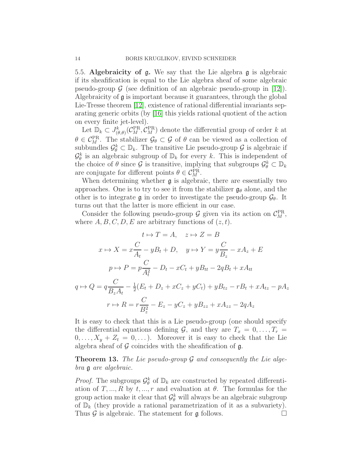5.5. Algebraicity of g. We say that the Lie algebra g is algebraic if its sheafification is equal to the Lie algebra sheaf of some algebraic pseudo-group  $\mathcal G$  (see definition of an algebraic pseudo-group in [\[12\]](#page-19-0)). Algebraicity of  $\mathfrak g$  is important because it guarantees, through the global Lie-Tresse theorem [\[12\]](#page-19-0), existence of rational differential invariants separating generic orbits (by [\[16\]](#page-19-7) this yields rational quotient of the action on every finite jet-level).

Let  $\mathbb{D}_k \subset J^k_{(\theta,\theta)}(\mathcal{C}_M^{\text{PR}}, \mathcal{C}_M^{\text{PR}})$  denote the differential group of order k at  $\theta \in C_M^{\text{PR}}$ . The stabilizer  $\mathcal{G}_{\theta} \subset \mathcal{G}$  of  $\theta$  can be viewed as a collection of subbundles  $\mathcal{G}_{\theta}^k \subset \mathbb{D}_k$ . The transitive Lie pseudo-group  $\mathcal{G}$  is algebraic if  $\mathcal{G}_{\theta}^{k}$  is an algebraic subgroup of  $\mathbb{D}_{k}$  for every k. This is independent of the choice of  $\theta$  since  $\mathcal G$  is transitive, implying that subgroups  $\mathcal G^k_{\theta} \subset \mathbb{D}_k$ are conjugate for different points  $\theta \in C_M^{\text{PR}}$ .

When determining whether  $\mathfrak g$  is algebraic, there are essentially two approaches. One is to try to see it from the stabilizer  $\mathfrak{g}_{\theta}$  alone, and the other is to integrate g in order to investigate the pseudo-group  $\mathcal{G}_{\theta}$ . It turns out that the latter is more efficient in our case.

Consider the following pseudo-group  $G$  given via its action on  $C_M^{\text{PR}}$ , where  $A, B, C, D, E$  are arbitrary functions of  $(z, t)$ .

$$
t \mapsto T = A, \quad z \mapsto Z = B
$$
  
\n
$$
x \mapsto X = x\frac{C}{A_t} - yB_t + D, \quad y \mapsto Y = y\frac{C}{B_z} - xA_z + E
$$
  
\n
$$
p \mapsto P = p\frac{C}{A_t^2} - D_t - xC_t + yB_{tt} - 2qB_t + xA_{tt}
$$
  
\n
$$
q \mapsto Q = q\frac{C}{B_zA_t} - \frac{1}{2}(E_t + D_z + xC_z + yC_t) + yB_{tz} - rB_t + xA_{tz} - pA_z
$$
  
\n
$$
r \mapsto R = r\frac{C}{B_z^2} - E_z - yC_z + yB_{zz} + xA_{zz} - 2qA_z
$$

It is easy to check that this is a Lie pseudo-group (one should specify the differential equations defining  $\mathcal{G}$ , and they are  $T_x = 0, \ldots, T_r =$  $0, \ldots, X_y + Z_t = 0, \ldots$ . Moreover it is easy to check that the Lie algebra sheaf of  $G$  coincides with the sheafification of  $g$ .

<span id="page-13-0"></span>**Theorem 13.** The Lie pseudo-group  $\mathcal G$  and consequently the Lie algebra g are algebraic.

*Proof.* The subgroups  $\mathcal{G}_{\theta}^{k}$  of  $\mathbb{D}_{k}$  are constructed by repeated differentiation of T, ..., R by  $t, ..., r$  and evaluation at  $\theta$ . The formulas for the group action make it clear that  $\mathcal{G}_{\theta}^{k}$  will always be an algebraic subgroup of  $\mathbb{D}_k$  (they provide a rational parametrization of it as a subvariety). Thus  $\mathcal G$  is algebraic. The statement for  $\mathfrak g$  follows.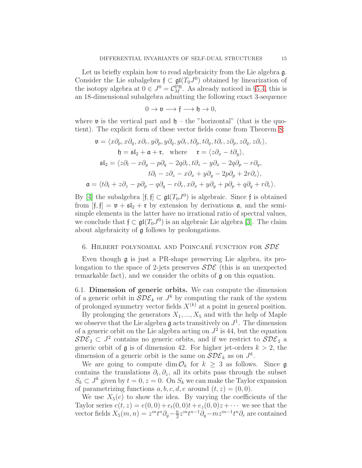Let us briefly explain how to read algebraicity from the Lie algebra  $g$ . Consider the Lie subalgebra  $\mathfrak{f} \subset \mathfrak{gl}(T_0J^0)$  obtained by linearization of the isotopy algebra at  $0 \in J^0 = \mathcal{C}_M^{\text{PR}}$ . As already noticed in §[5.4,](#page-11-1) this is an 18-dimensional subalgebra admitting the following exact 3-sequence

$$
0 \to \mathfrak{v} \longrightarrow \mathfrak{f} \longrightarrow \mathfrak{h} \to 0,
$$

where **v** is the vertical part and  $\mathfrak{h}$  – the "horizontal" (that is the quotient). The explicit form of these vector fields come from Theorem [8:](#page-10-0)

$$
\mathfrak{v} = \langle x\partial_p, x\partial_q, x\partial_r, y\partial_p, y\partial_q, y\partial_r, t\partial_p, t\partial_q, t\partial_r, z\partial_p, z\partial_q, z\partial_r \rangle,
$$
  
\n
$$
\mathfrak{h} = \mathfrak{sl}_2 + \mathfrak{a} + \mathfrak{r}, \text{ where } \mathfrak{r} = \langle z\partial_x - t\partial_y \rangle,
$$
  
\n
$$
\mathfrak{sl}_2 = \langle z\partial_t - x\partial_y - p\partial_q - 2q\partial_r, t\partial_z - y\partial_x - 2q\partial_p - r\partial_q,
$$
  
\n
$$
t\partial_t - z\partial_z - x\partial_x + y\partial_y - 2p\partial_p + 2r\partial_r \rangle,
$$
  
\n
$$
\mathfrak{a} = \langle t\partial_t + z\partial_z - p\partial_p - q\partial_q - r\partial_r, x\partial_x + y\partial_y + p\partial_p + q\partial_q + r\partial_r \rangle.
$$

By [\[4\]](#page-18-4) the subalgebra  $[f, f] \subset \mathfrak{gl}(T_0 J^0)$  is algebraic. Since f is obtained from  $[f, f] = \mathfrak{v} + \mathfrak{sl}_2 + \mathfrak{r}$  by extension by derivations  $\mathfrak{a}$ , and the semisimple elements in the latter have no irrational ratio of spectral values, we conclude that  $\mathfrak{f} \subset \mathfrak{gl}(T_0J^0)$  is an algebraic Lie algebra [\[3\]](#page-18-5). The claim about algebraicity of g follows by prolongations.

## 6. HILBERT POLYNOMIAL AND POINCARÉ FUNCTION FOR  $SDE$

Even though g is just a PR-shape preserving Lie algebra, its prolongation to the space of 2-jets preserves  $SDE$  (this is an unexpected remarkable fact), and we consider the orbits of g on this equation.

6.1. Dimension of generic orbits. We can compute the dimension of a generic orbit in  $SDE_k$  or  $J^k$  by computing the rank of the system of prolonged symmetry vector fields  $X^{(k)}$  at a point in general position.

By prolonging the generators  $X_1, ..., X_5$  and with the help of Maple we observe that the Lie algebra  $\mathfrak g$  acts transitively on  $J^1$ . The dimension of a generic orbit on the Lie algebra acting on  $J^2$  is 44, but the equation  $SDE_2 \subset J^2$  contains no generic orbits, and if we restrict to  $SDE_2$  a generic orbit of  $\mathfrak g$  is of dimension 42. For higher jet-orders  $k > 2$ , the dimension of a generic orbit is the same on  $SDE_k$  as on  $J^k$ .

We are going to compute dim  $\mathcal{O}_k$  for  $k \geq 3$  as follows. Since g contains the translations  $\partial_t$ ,  $\partial_z$ , all its orbits pass through the subset  $S_k \subset J^k$  given by  $t = 0, z = 0$ . On  $S_k$  we can make the Taylor expansion of parametrizing functions  $a, b, c, d, e$  around  $(t, z) = (0, 0)$ .

We use  $X_5(e)$  to show the idea. By varying the coefficients of the Taylor series  $e(t, z) = e(0, 0) + e_t(0, 0)t + e_z(0, 0)z + \cdots$  we see that the vector fields  $X_5(m,n) = z^m t^n \partial_y - \frac{n}{2}$  $\frac{n}{2}z^mt^{n-1}\partial_q-mz^{m-1}t^n\partial_r$  are contained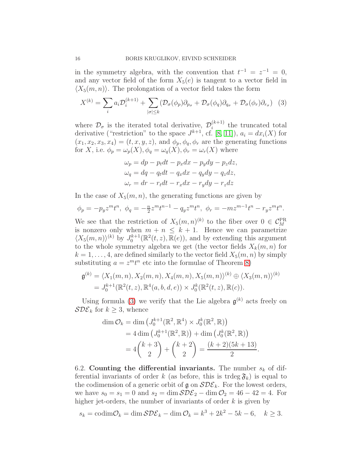in the symmetry algebra, with the convention that  $t^{-1} = z^{-1} = 0$ , and any vector field of the form  $X_5(e)$  is tangent to a vector field in  $\langle X_5(m, n) \rangle$ . The prolongation of a vector field takes the form

<span id="page-15-0"></span>
$$
X^{(k)} = \sum_{i} a_{i} \mathcal{D}_{i}^{(k+1)} + \sum_{|\sigma| \leq k} (\mathcal{D}_{\sigma}(\phi_{p}) \partial_{p_{\sigma}} + \mathcal{D}_{\sigma}(\phi_{q}) \partial_{q_{\sigma}} + \mathcal{D}_{\sigma}(\phi_{r}) \partial_{r_{\sigma}})
$$
(3)

where  $\mathcal{D}_{\sigma}$  is the iterated total derivative,  $\mathcal{D}_{i}^{(k+1)}$  $i^{(k+1)}$  the truncated total derivative ("restriction" to the space  $J^{k+1}$ , cf. [\[8,](#page-19-6) [11\]](#page-19-5)),  $a_i = dx_i(X)$  for  $(x_1, x_2, x_3, x_4) = (t, x, y, z)$ , and  $\phi_p, \phi_q, \phi_r$  are the generating functions for X, i.e.  $\phi_p = \omega_p(X)$ ,  $\phi_q = \omega_q(X)$ ,  $\phi_r = \omega_r(X)$  where

$$
\omega_p = dp - p_t dt - p_x dx - p_y dy - p_z dz,
$$
  
\n
$$
\omega_q = dq - q_t dt - q_x dx - q_y dy - q_z dz,
$$
  
\n
$$
\omega_r = dr - r_t dt - r_x dx - r_y dy - r_z dz
$$

In the case of  $X_5(m, n)$ , the generating functions are given by

$$
\phi_p = -p_y z^m t^n, \ \phi_q = -\frac{n}{2} z^m t^{n-1} - q_y z^m t^n, \ \phi_r = -m z^{m-1} t^n - r_y z^m t^n.
$$

We see that the restriction of  $X_5(m,n)^{(k)}$  to the fiber over  $0 \in C_M^{\text{PR}}$ is nonzero only when  $m + n \leq k + 1$ . Hence we can parametrize  $\langle X_5(m,n)\rangle^{(k)}$  by  $J_0^{k+1}(\mathbb{R}^2(t,z), \mathbb{R}(e)),$  and by extending this argument to the whole symmetry algebra we get (the vector fields  $X_k(m, n)$  for  $k = 1, \ldots, 4$ , are defined similarly to the vector field  $X_5(m, n)$  by simply substituting  $a = z<sup>m</sup> t<sup>n</sup>$  etc into the formulae of Theorem [8\)](#page-10-0)

$$
\mathfrak{g}^{(k)} = \langle X_1(m,n), X_2(m,n), X_4(m,n), X_5(m,n) \rangle^{(k)} \oplus \langle X_3(m,n) \rangle^{(k)}
$$
  
=  $J_0^{k+1}(\mathbb{R}^2(t,z), \mathbb{R}^4(a,b,d,e)) \times J_0^k(\mathbb{R}^2(t,z), \mathbb{R}(c)).$ 

Using formula [\(3\)](#page-15-0) we verify that the Lie algebra  $\mathfrak{g}^{(k)}$  acts freely on  $\mathcal{SDE}_k$  for  $k \geq 3$ , whence

$$
\dim \mathcal{O}_k = \dim \left( J_0^{k+1}(\mathbb{R}^2, \mathbb{R}^4) \times J_0^k(\mathbb{R}^2, \mathbb{R}) \right)
$$
  
= 4 \dim \left( J\_0^{k+1}(\mathbb{R}^2, \mathbb{R}) \right) + \dim \left( J\_0^k(\mathbb{R}^2, \mathbb{R}) \right)  
= 4 \binom{k+3}{2} + \binom{k+2}{2} = \frac{(k+2)(5k+13)}{2}.

6.2. Counting the differential invariants. The number  $s_k$  of differential invariants of order k (as before, this is trdeg  $\mathfrak{F}_k$ ) is equal to the codimension of a generic orbit of  $\mathfrak{g}$  on  $\mathcal{SDE}_k$ . For the lowest orders, we have  $s_0 = s_1 = 0$  and  $s_2 = \dim \mathcal{SDE}_2 - \dim \mathcal{O}_2 = 46 - 42 = 4$ . For higher jet-orders, the number of invariants of order  $k$  is given by

$$
s_k = \operatorname{codim} \mathcal{O}_k = \dim \mathcal{S} \mathcal{D} \mathcal{E}_k - \dim \mathcal{O}_k = k^3 + 2k^2 - 5k - 6, \quad k \ge 3.
$$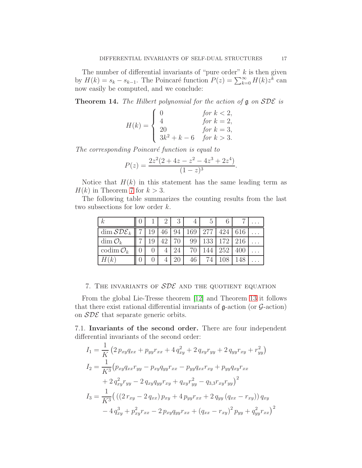The number of differential invariants of "pure order"  $k$  is then given by  $H(k) = s_k - s_{k-1}$ . The Poincaré function  $P(z) = \sum_{k=0}^{\infty} H(k) z^{\overline{k}}$  can now easily be computed, and we conclude:

**Theorem 14.** The Hilbert polynomial for the action of  $\mathfrak g$  on  $\mathcal{SDE}$  is

$$
H(k) = \begin{cases} 0 & \text{for } k < 2, \\ 4 & \text{for } k = 2, \\ 20 & \text{for } k = 3, \\ 3k^2 + k - 6 & \text{for } k > 3. \end{cases}
$$

The corresponding Poincaré function is equal to

$$
P(z) = \frac{2z^2(2+4z-z^2-4z^3+2z^4)}{(1-z)^3}.
$$

Notice that  $H(k)$  in this statement has the same leading term as  $H(k)$  in Theorem [7](#page-8-0) for  $k > 3$ .

The following table summarizes the counting results from the last two subsections for low order k.

| $\kappa$               |    |    | 3  | 4   | G   |     |     |  |
|------------------------|----|----|----|-----|-----|-----|-----|--|
| $\dim \mathcal{SDE}_k$ | 19 |    | 94 | 169 | 777 | 424 | 616 |  |
| $\dim \mathcal{O}_k$   |    | 42 |    | 99  | 133 | 172 | 216 |  |
| codim $\mathcal{O}_k$  |    |    | 24 | 70  |     | 252 | 400 |  |
| H(k)                   |    |    |    | 46  |     |     |     |  |

## 7. THE INVARIANTS OF  $SDE$  AND THE QUOTIENT EQUATION

From the global Lie-Tresse theorem [\[12\]](#page-19-0) and Theorem [13](#page-13-0) it follows that there exist rational differential invariants of  $\mathfrak g$ -action (or  $\mathcal G$ -action) on  $SDE$  that separate generic orbits.

7.1. Invariants of the second order. There are four independent differential invariants of the second order:

1

$$
I_{1} = \frac{1}{K} \left( 2 \, p_{xy} q_{xx} + p_{yy} r_{xx} + 4 \, q_{xy}^{2} + 2 \, q_{xy} r_{yy} + 2 \, q_{yy} r_{xy} + r_{yy}^{2} \right)
$$
  
\n
$$
I_{2} = \frac{1}{K^{3}} \left( p_{xy} q_{xx} r_{yy} - p_{xy} q_{yy} r_{xx} - p_{yy} q_{xx} r_{xy} + p_{yy} q_{xy} r_{xx} + 2 \, q_{xy}^{2} r_{yy} - 2 \, q_{xy} q_{yy} r_{xy} + q_{xy} r_{yy}^{2} - q_{3,3} r_{xy} r_{yy} \right)^{2}
$$
  
\n
$$
I_{3} = \frac{1}{K^{3}} \left( \left( \left( 2 \, r_{xy} - 2 \, q_{xx} \right) p_{xy} + 4 \, p_{yy} r_{xx} + 2 \, q_{yy} \left( q_{xx} - r_{xy} \right) \right) q_{xy} - 4 \, q_{xy}^{3} + p_{xy}^{2} r_{xx} - 2 \, p_{xy} q_{yy} r_{xx} + \left( q_{xx} - r_{xy} \right)^{2} p_{yy} + q_{yy}^{2} r_{xx} \right)^{2}
$$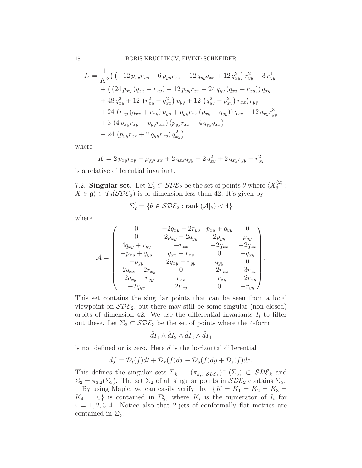$$
I_4 = \frac{1}{K^2} \left( \left( -12 \, p_{xy} r_{xy} - 6 \, p_{yy} r_{xx} - 12 \, q_{yy} q_{xx} + 12 \, q_{xy}^2 \right) r_{yy}^2 - 3 \, r_{yy}^4 \right. \\
\left. + \left( \left( 24 \, p_{xy} \left( q_{xx} - r_{xy} \right) - 12 \, p_{yy} r_{xx} - 24 \, q_{yy} \left( q_{xx} + r_{xy} \right) \right) q_{xy} \right. \\
\left. + 48 \, q_{xy}^3 + 12 \, \left( r_{xy}^2 - q_{xx}^2 \right) p_{yy} + 12 \, \left( q_{yy}^2 - p_{xy}^2 \right) r_{xx} \right) r_{yy} \\
+ 24 \, \left( r_{xy} \left( q_{xx} + r_{xy} \right) p_{yy} + q_{yy} r_{xx} \left( p_{xy} + q_{yy} \right) \right) q_{xy} - 12 \, q_{xy} r_{yy}^3 \\
+ 3 \, \left( 4 \, p_{xy} r_{xy} - p_{yy} r_{xx} \right) \left( p_{yy} r_{xx} - 4 \, q_{yy} q_{xx} \right) \\
- 24 \, \left( p_{yy} r_{xx} + 2 \, q_{yy} r_{xy} \right) q_{xy}^2 \right)
$$

where

$$
K = 2 p_{xy} r_{xy} - p_{yy} r_{xx} + 2 q_{xx} q_{yy} - 2 q_{xy}^2 + 2 q_{xy} r_{yy} + r_{yy}^2
$$

is a relative differential invariant.

7.2. Singular set. Let  $\Sigma_2' \subset \mathcal{SDE}_2$  be the set of points  $\theta$  where  $\langle X_{\theta}^{(2)} \rangle$  $\overset{(2)}{\theta}$  :  $X \in \mathfrak{g} \subset T_{\theta}(\mathcal{SDE}_2)$  is of dimension less than 42. It's given by

$$
\Sigma_2' = \{ \theta \in \mathcal{SDE}_2 : \operatorname{rank} \left( \mathcal{A} |_{\theta} \right) < 4 \}
$$

where

$$
\mathcal{A} = \begin{pmatrix}\n0 & -2q_{xy} - 2r_{yy} & p_{xy} + q_{yy} & 0 \\
0 & 2p_{xy} - 2q_{yy} & 2p_{yy} & p_{yy} \\
4q_{xy} + r_{yy} & -r_{xx} & -2q_{xx} & -2q_{xx} \\
-p_{xy} + q_{yy} & q_{xx} - r_{xy} & 0 & -q_{xy} \\
-p_{yy} & 2q_{xy} - r_{yy} & q_{yy} & 0 \\
-2q_{xx} + 2r_{xy} & 0 & -2r_{xx} & -3r_{xx} \\
-2q_{xy} + r_{yy} & r_{xx} & -r_{xy} & -2r_{xy} \\
-2q_{yy} & 2r_{xy} & 0 & -r_{yy}\n\end{pmatrix}.
$$

This set contains the singular points that can be seen from a local viewpoint on  $SDE<sub>2</sub>$ , but there may still be some singular (non-closed) orbits of dimension 42. We use the differential invariants  $I_i$  to filter out these. Let  $\Sigma_3 \subset \mathcal{SDE}_3$  be the set of points where the 4-form

$$
\hat{d}I_1 \wedge \hat{d}I_2 \wedge \hat{d}I_3 \wedge \hat{d}I_4
$$

is not defined or is zero. Here  $\hat{d}$  is the horizontal differential

$$
\hat{d}f = \mathcal{D}_t(f)dt + \mathcal{D}_x(f)dx + \mathcal{D}_y(f)dy + \mathcal{D}_z(f)dz.
$$

This defines the singular sets  $\Sigma_k = (\pi_{k,3} |_{SDE_k})^{-1}(\Sigma_3) \subset SDE_k$  and  $\Sigma_2 = \pi_{3,2}(\Sigma_3)$ . The set  $\Sigma_2$  of all singular points in  $SDE_2$  contains  $\Sigma'_2$ . By using Maple, we can easily verify that  $\{K = K_1 = K_2 = K_3 = \}$  $K_4 = 0$  is contained in  $\Sigma'_2$ , where  $K_i$  is the numerator of  $I_i$  for  $i = 1, 2, 3, 4$ . Notice also that 2-jets of conformally flat metrics are contained in  $\Sigma'_2$ .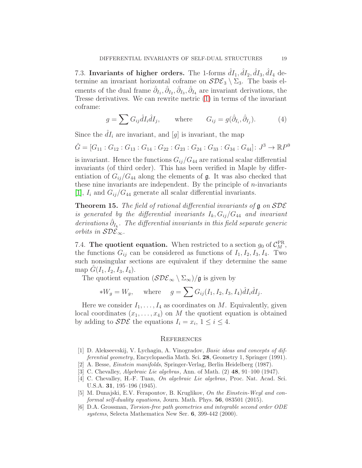7.3. Invariants of higher orders. The 1-forms  $\hat{d}I_1$ ,  $\hat{d}I_2$ ,  $\hat{d}I_3$ ,  $\hat{d}I_4$  determine an invariant horizontal coframe on  $\mathcal{SDE}_3 \setminus \Sigma_3$ . The basis elements of the dual frame  $\hat{\partial}_{I_1}, \hat{\partial}_{I_2}, \hat{\partial}_{I_3}, \hat{\partial}_{I_4}$  are invariant derivations, the Tresse derivatives. We can rewrite metric [\(1\)](#page-9-0) in terms of the invariant coframe:

$$
g = \sum G_{ij} \hat{d} I_i \hat{d} I_j, \quad \text{where} \quad G_{ij} = g(\hat{\partial}_{I_i}, \hat{\partial}_{I_j}). \quad (4)
$$

Since the  $\hat{dI}_i$  are invariant, and [g] is invariant, the map

$$
\hat{G} = [G_{11} : G_{12} : G_{13} : G_{14} : G_{22} : G_{23} : G_{24} : G_{33} : G_{34} : G_{44}] : J^3 \to \mathbb{R}P^9
$$

is invariant. Hence the functions  $G_{ij}/G_{44}$  are rational scalar differential invariants (of third order). This has been verified in Maple by differentiation of  $G_{ii}/G_{44}$  along the elements of  $\mathfrak g$ . It was also checked that these nine invariants are independent. By the principle of  $n$ -invariants [\[1\]](#page-18-2),  $I_i$  and  $G_{ii}/G_{44}$  generate all scalar differential invariants.

**Theorem 15.** The field of rational differential invariants of  $\mathfrak g$  on  $\mathcal{SDE}$ is generated by the differential invariants  $I_k$ ,  $G_{ij}/G_{44}$  and invariant derivations  $\hat{\partial}_{I_k}$ . The differential invariants in this field separate generic orbits in  $SDE_{\infty}$ .

7.4. The quotient equation. When restricted to a section  $g_0$  of  $C_M^{\text{PR}}$ , the functions  $G_{ij}$  can be considered as functions of  $I_1, I_2, I_3, I_4$ . Two such nonsingular sections are equivalent if they determine the same map  $G(I_1, I_2, I_3, I_4)$ .

The quotient equation  $(\mathcal{SDE}_{\infty} \setminus \Sigma_{\infty})/\mathfrak{g}$  is given by

$$
*W_g = W_g
$$
, where  $g = \sum G_{ij}(I_1, I_2, I_3, I_4) \hat{d}I_i \hat{d}I_j$ .

Here we consider  $I_1, \ldots, I_4$  as coordinates on M. Equivalently, given local coordinates  $(x_1, \ldots, x_4)$  on M the quotient equation is obtained by adding to  $\mathcal{SDE}$  the equations  $I_i = x_i, 1 \leq i \leq 4$ .

#### **REFERENCES**

- <span id="page-18-2"></span>[1] D. Alekseevskij, V. Lychagin, A. Vinogradov, Basic ideas and concepts of differential geometry, Encyclopaedia Math. Sci. 28, Geometry 1, Springer (1991).
- <span id="page-18-5"></span><span id="page-18-0"></span>[2] A. Besse, Einstein manifolds, Springer-Verlag, Berlin Heidelberg (1987).
- <span id="page-18-4"></span>[3] C. Chevalley, *Algebraic Lie algebras*, Ann. of Math. (2) **48**, 91–100 (1947).
- [4] C. Chevalley, H.-F. Tuan, On algebraic Lie algebras, Proc. Nat. Acad. Sci. U.S.A. 31, 195–196 (1945).
- <span id="page-18-1"></span>[5] M. Dunajski, E.V. Ferapontov, B. Kruglikov, On the Einstein-Weyl and conformal self-duality equations, Journ. Math. Phys.  $56$ ,  $083501$   $(2015)$ .
- <span id="page-18-3"></span>[6] D.A. Grossman, Torsion-free path geometries and integrable second order ODE systems, Selecta Mathematica New Ser. 6, 399-442 (2000).